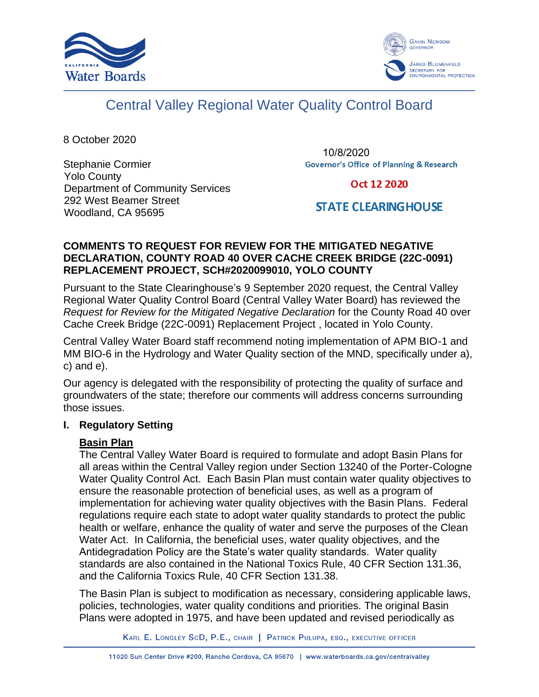



# Central Valley Regional Water Quality Control Board

8 October 2020

Stephanie Cormier Yolo County Department of Community Services 292 West Beamer Street Woodland, CA 95695

10/8/2020**Governor's Office of Planning & Research** 

# Oct 12 2020

# **STATE CLEARING HOUSE**

# **COMMENTS TO REQUEST FOR REVIEW FOR THE MITIGATED NEGATIVE DECLARATION, COUNTY ROAD 40 OVER CACHE CREEK BRIDGE (22C-0091) REPLACEMENT PROJECT, SCH#2020099010, YOLO COUNTY**

Pursuant to the State Clearinghouse's 9 September 2020 request, the Central Valley Regional Water Quality Control Board (Central Valley Water Board) has reviewed the *Request for Review for the Mitigated Negative Declaration* for the County Road 40 over Cache Creek Bridge (22C-0091) Replacement Project , located in Yolo County.

Central Valley Water Board staff recommend noting implementation of APM BIO-1 and MM BIO-6 in the Hydrology and Water Quality section of the MND, specifically under a), c) and e).

Our agency is delegated with the responsibility of protecting the quality of surface and groundwaters of the state; therefore our comments will address concerns surrounding those issues.

# **I. Regulatory Setting**

# **Basin Plan**

The Central Valley Water Board is required to formulate and adopt Basin Plans for all areas within the Central Valley region under Section 13240 of the Porter-Cologne Water Quality Control Act. Each Basin Plan must contain water quality objectives to ensure the reasonable protection of beneficial uses, as well as a program of implementation for achieving water quality objectives with the Basin Plans. Federal regulations require each state to adopt water quality standards to protect the public health or welfare, enhance the quality of water and serve the purposes of the Clean Water Act. In California, the beneficial uses, water quality objectives, and the Antidegradation Policy are the State's water quality standards. Water quality standards are also contained in the National Toxics Rule, 40 CFR Section 131.36, and the California Toxics Rule, 40 CFR Section 131.38.

The Basin Plan is subject to modification as necessary, considering applicable laws, policies, technologies, water quality conditions and priorities. The original Basin Plans were adopted in 1975, and have been updated and revised periodically as

KARL E. LONGLEY SCD, P.E., CHAIR | PATRICK PULUPA, ESQ., EXECUTIVE OFFICER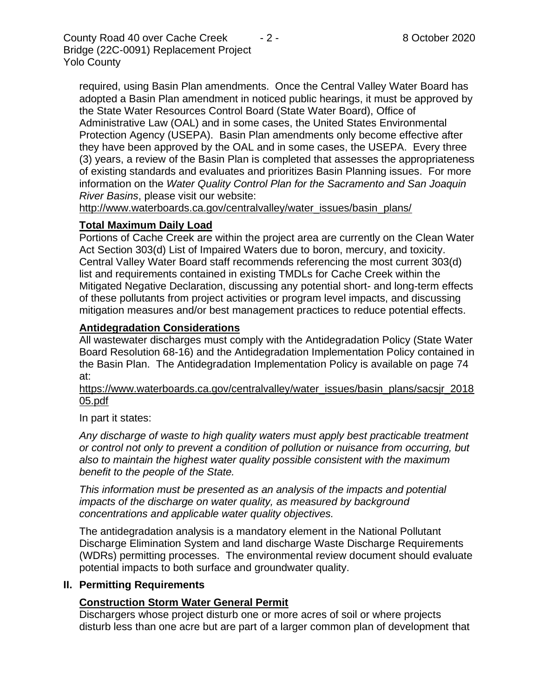County Road 40 over Cache Creek - 2 - 8 October 2020 Bridge (22C-0091) Replacement Project Yolo County

required, using Basin Plan amendments. Once the Central Valley Water Board has adopted a Basin Plan amendment in noticed public hearings, it must be approved by the State Water Resources Control Board (State Water Board), Office of Administrative Law (OAL) and in some cases, the United States Environmental Protection Agency (USEPA). Basin Plan amendments only become effective after they have been approved by the OAL and in some cases, the USEPA. Every three (3) years, a review of the Basin Plan is completed that assesses the appropriateness of existing standards and evaluates and prioritizes Basin Planning issues. For more information on the *Water Quality Control Plan for the Sacramento and San Joaquin River Basins*, please visit our website:

[http://www.waterboards.ca.gov/centralvalley/water\\_issues/basin\\_plans/](http://www.waterboards.ca.gov/centralvalley/water_issues/basin_plans/)

#### **Total Maximum Daily Load**

Portions of Cache Creek are within the project area are currently on the Clean Water Act Section 303(d) List of Impaired Waters due to boron, mercury, and toxicity. Central Valley Water Board staff recommends referencing the most current 303(d) list and requirements contained in existing TMDLs for Cache Creek within the Mitigated Negative Declaration, discussing any potential short- and long-term effects of these pollutants from project activities or program level impacts, and discussing mitigation measures and/or best management practices to reduce potential effects.

### **Antidegradation Considerations**

All wastewater discharges must comply with the Antidegradation Policy (State Water Board Resolution 68-16) and the Antidegradation Implementation Policy contained in the Basin Plan. The Antidegradation Implementation Policy is available on page 74 at:

https://www.waterboards.ca.gov/centralvalley/water\_issues/basin\_plans/sacsjr\_2018 05.pdf

In part it states:

*Any discharge of waste to high quality waters must apply best practicable treatment or control not only to prevent a condition of pollution or nuisance from occurring, but also to maintain the highest water quality possible consistent with the maximum benefit to the people of the State.*

*This information must be presented as an analysis of the impacts and potential impacts of the discharge on water quality, as measured by background concentrations and applicable water quality objectives.*

The antidegradation analysis is a mandatory element in the National Pollutant Discharge Elimination System and land discharge Waste Discharge Requirements (WDRs) permitting processes. The environmental review document should evaluate potential impacts to both surface and groundwater quality.

#### **II. Permitting Requirements**

# **Construction Storm Water General Permit**

Dischargers whose project disturb one or more acres of soil or where projects disturb less than one acre but are part of a larger common plan of development that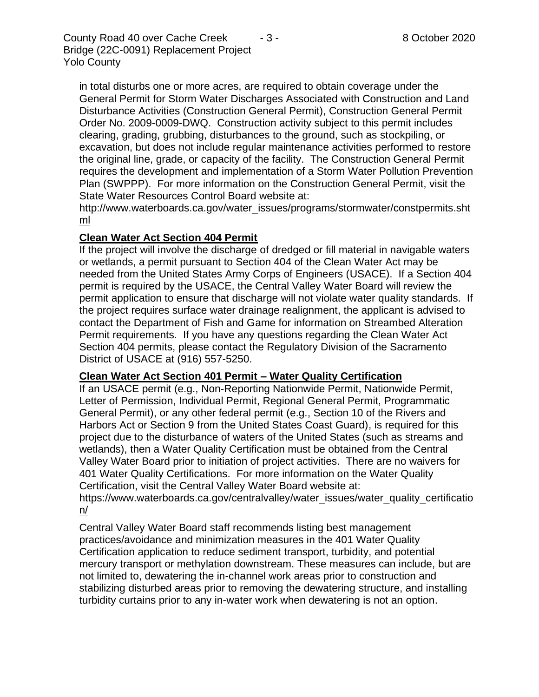County Road 40 over Cache Creek - 3 - 8 October 2020 Bridge (22C-0091) Replacement Project Yolo County

in total disturbs one or more acres, are required to obtain coverage under the General Permit for Storm Water Discharges Associated with Construction and Land Disturbance Activities (Construction General Permit), Construction General Permit Order No. 2009-0009-DWQ. Construction activity subject to this permit includes clearing, grading, grubbing, disturbances to the ground, such as stockpiling, or excavation, but does not include regular maintenance activities performed to restore the original line, grade, or capacity of the facility. The Construction General Permit requires the development and implementation of a Storm Water Pollution Prevention Plan (SWPPP). For more information on the Construction General Permit, visit the State Water Resources Control Board website at:

[http://www.waterboards.ca.gov/water\\_issues/programs/stormwater/constpermits.sht](http://www.waterboards.ca.gov/water_issues/programs/stormwater/constpermits.shtml) [ml](http://www.waterboards.ca.gov/water_issues/programs/stormwater/constpermits.shtml)

#### **Clean Water Act Section 404 Permit**

If the project will involve the discharge of dredged or fill material in navigable waters or wetlands, a permit pursuant to Section 404 of the Clean Water Act may be needed from the United States Army Corps of Engineers (USACE). If a Section 404 permit is required by the USACE, the Central Valley Water Board will review the permit application to ensure that discharge will not violate water quality standards. If the project requires surface water drainage realignment, the applicant is advised to contact the Department of Fish and Game for information on Streambed Alteration Permit requirements. If you have any questions regarding the Clean Water Act Section 404 permits, please contact the Regulatory Division of the Sacramento District of USACE at (916) 557-5250.

#### **Clean Water Act Section 401 Permit – Water Quality Certification**

If an USACE permit (e.g., Non-Reporting Nationwide Permit, Nationwide Permit, Letter of Permission, Individual Permit, Regional General Permit, Programmatic General Permit), or any other federal permit (e.g., Section 10 of the Rivers and Harbors Act or Section 9 from the United States Coast Guard), is required for this project due to the disturbance of waters of the United States (such as streams and wetlands), then a Water Quality Certification must be obtained from the Central Valley Water Board prior to initiation of project activities. There are no waivers for 401 Water Quality Certifications. For more information on the Water Quality Certification, visit the Central Valley Water Board website at:

#### https://www.waterboards.ca.gov/centralvalley/water\_issues/water\_quality\_certificatio n/

Central Valley Water Board staff recommends listing best management practices/avoidance and minimization measures in the 401 Water Quality Certification application to reduce sediment transport, turbidity, and potential mercury transport or methylation downstream. These measures can include, but are not limited to, dewatering the in-channel work areas prior to construction and stabilizing disturbed areas prior to removing the dewatering structure, and installing turbidity curtains prior to any in-water work when dewatering is not an option.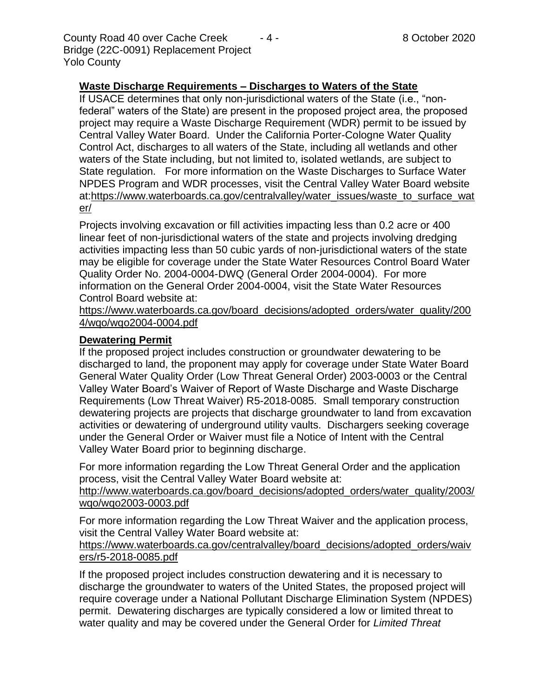County Road 40 over Cache Creek - 4 - 8 October 2020 Bridge (22C-0091) Replacement Project Yolo County

### **Waste Discharge Requirements – Discharges to Waters of the State**

If USACE determines that only non-jurisdictional waters of the State (i.e., "nonfederal" waters of the State) are present in the proposed project area, the proposed project may require a Waste Discharge Requirement (WDR) permit to be issued by Central Valley Water Board. Under the California Porter-Cologne Water Quality Control Act, discharges to all waters of the State, including all wetlands and other waters of the State including, but not limited to, isolated wetlands, are subject to State regulation. For more information on the Waste Discharges to Surface Water NPDES Program and WDR processes, visit the Central Valley Water Board website at:https://www.waterboards.ca.gov/centralvalley/water\_issues/waste\_to\_surface\_wat er/

Projects involving excavation or fill activities impacting less than 0.2 acre or 400 linear feet of non-jurisdictional waters of the state and projects involving dredging activities impacting less than 50 cubic yards of non-jurisdictional waters of the state may be eligible for coverage under the State Water Resources Control Board Water Quality Order No. 2004-0004-DWQ (General Order 2004-0004). For more information on the General Order 2004-0004, visit the State Water Resources Control Board website at:

https://www.waterboards.ca.gov/board\_decisions/adopted\_orders/water\_quality/200 4/wqo/wqo2004-0004.pdf

#### **Dewatering Permit**

If the proposed project includes construction or groundwater dewatering to be discharged to land, the proponent may apply for coverage under State Water Board General Water Quality Order (Low Threat General Order) 2003-0003 or the Central Valley Water Board's Waiver of Report of Waste Discharge and Waste Discharge Requirements (Low Threat Waiver) R5-2018-0085. Small temporary construction dewatering projects are projects that discharge groundwater to land from excavation activities or dewatering of underground utility vaults. Dischargers seeking coverage under the General Order or Waiver must file a Notice of Intent with the Central Valley Water Board prior to beginning discharge.

For more information regarding the Low Threat General Order and the application process, visit the Central Valley Water Board website at:

http://www.waterboards.ca.gov/board\_decisions/adopted\_orders/water\_quality/2003/ wqo/wqo2003-0003.pdf

For more information regarding the Low Threat Waiver and the application process, visit the Central Valley Water Board website at:

https://www.waterboards.ca.gov/centralvalley/board\_decisions/adopted\_orders/waiv ers/r5-2018-0085.pdf

If the proposed project includes construction dewatering and it is necessary to discharge the groundwater to waters of the United States, the proposed project will require coverage under a National Pollutant Discharge Elimination System (NPDES) permit. Dewatering discharges are typically considered a low or limited threat to water quality and may be covered under the General Order for *Limited Threat*